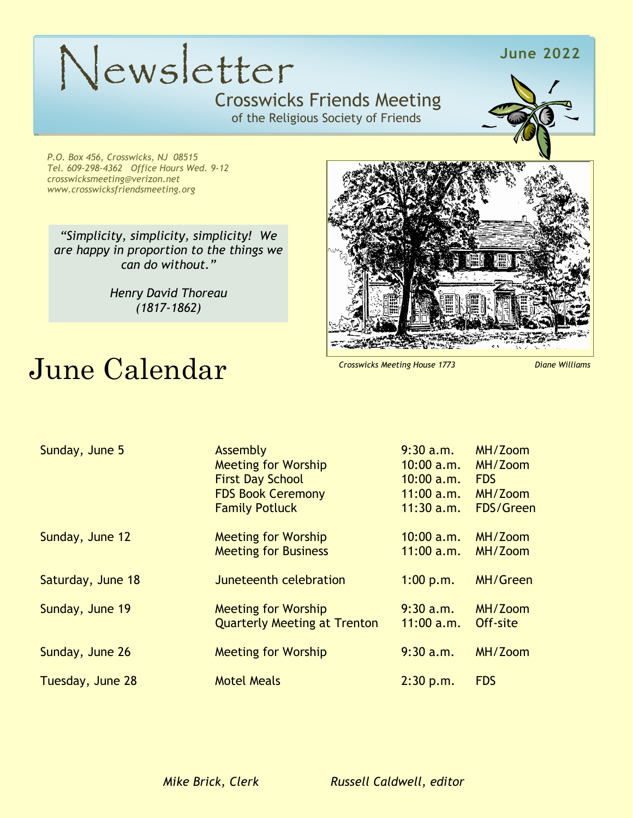## Crosswicks Friends Meeting Newsletter **June 2022** Newsletter

### Crosswicks Friends Meeting

of the Religious Society of Friends



*P.O. Box 456, Crosswicks, NJ 08515 Tel. 609-298-4362 Office Hours Wed. 9-12 crosswicksmeeting@verizon.net www.crosswicksfriendsmeeting.org*

*"Simplicity, simplicity, simplicity! We are happy in proportion to the things we can do without."*

> *Henry David Thoreau (1817-1862)*

# June Calendar

*Crosswicks Meeting House 1773 Diane Williams*

| Sunday, June 5    | Assembly                            | $9:30$ a.m.  | MH/Zoom         |
|-------------------|-------------------------------------|--------------|-----------------|
|                   | <b>Meeting for Worship</b>          | 10:00 a.m.   | MH/Zoom         |
|                   | <b>First Day School</b>             | $10:00$ a.m. | <b>FDS</b>      |
|                   | <b>FDS Book Ceremony</b>            | 11:00 a.m.   | MH/Zoom         |
|                   | <b>Family Potluck</b>               | $11:30$ a.m. | FDS/Green       |
| Sunday, June 12   | <b>Meeting for Worship</b>          | 10:00 a.m.   | MH/Zoom         |
|                   | <b>Meeting for Business</b>         | $11:00$ a.m. | MH/Zoom         |
| Saturday, June 18 | Juneteenth celebration              | 1:00 p.m.    | <b>MH/Green</b> |
| Sunday, June 19   | <b>Meeting for Worship</b>          | 9:30 a.m.    | MH/Zoom         |
|                   | <b>Quarterly Meeting at Trenton</b> | $11:00$ a.m. | Off-site        |
| Sunday, June 26   | <b>Meeting for Worship</b>          | 9:30 a.m.    | MH/Zoom         |
| Tuesday, June 28  | <b>Motel Meals</b>                  | 2:30 p.m.    | <b>FDS</b>      |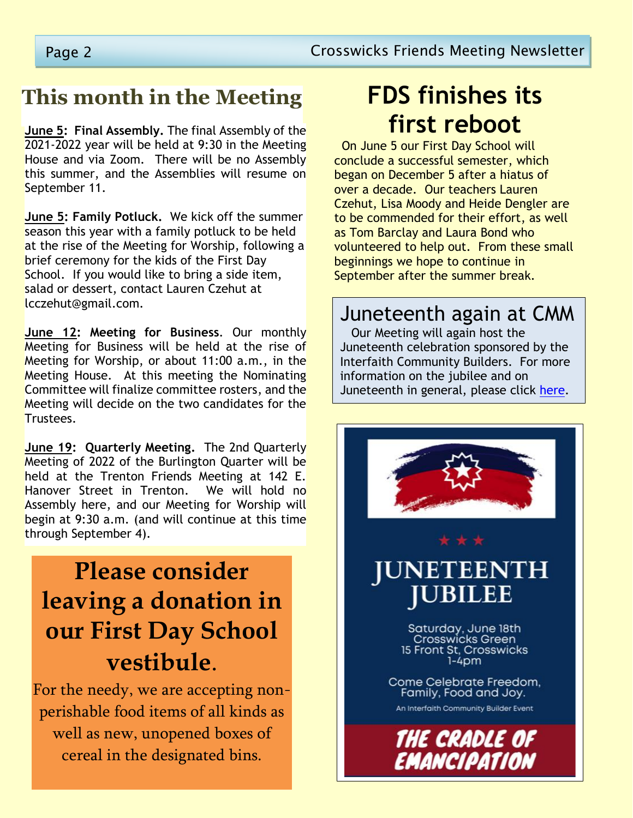### **This month in the Meeting**

**June 5: Final Assembly.** The final Assembly of the 2021-2022 year will be held at 9:30 in the Meeting House and via Zoom. There will be no Assembly this summer, and the Assemblies will resume on September 11.

**June 5: Family Potluck.** We kick off the summer season this year with a family potluck to be held at the rise of the Meeting for Worship, following a brief ceremony for the kids of the First Day School. If you would like to bring a side item, salad or dessert, contact Lauren Czehut at lcczehut@gmail.com.

**June 12: Meeting for Business**. Our monthly Meeting for Business will be held at the rise of Meeting for Worship, or about 11:00 a.m., in the Meeting House. At this meeting the Nominating Committee will finalize committee rosters, and the Meeting will decide on the two candidates for the Trustees.

**June 19: Quarterly Meeting.** The 2nd Quarterly Meeting of 2022 of the Burlington Quarter will be held at the Trenton Friends Meeting at 142 E. Hanover Street in Trenton. We will hold no Assembly here, and our Meeting for Worship will begin at 9:30 a.m. (and will continue at this time through September 4).

## **Please consider leaving a donation in our First Day School vestibule**.

For the needy, we are accepting nonperishable food items of all kinds as well as new, unopened boxes of cereal in the designated bins.

## **FDS finishes its first reboot**

 On June 5 our First Day School will conclude a successful semester, which began on December 5 after a hiatus of over a decade. Our teachers Lauren Czehut, Lisa Moody and Heide Dengler are to be commended for their effort, as well as Tom Barclay and Laura Bond who volunteered to help out. From these small beginnings we hope to continue in September after the summer break.

#### Juneteenth again at CMM

 Our Meeting will again host the Juneteenth celebration sponsored by the Interfaith Community Builders. For more information on the jubilee and on Juneteenth in general, please click [here.](https://onedrive.live.com/?authkey=%21AFgGyZolq4piZdQ&cid=E3FF436E8425670D&id=E3FF436E8425670D%21132923&parId=E3FF436E8425670D%21132922&o=OneUp)